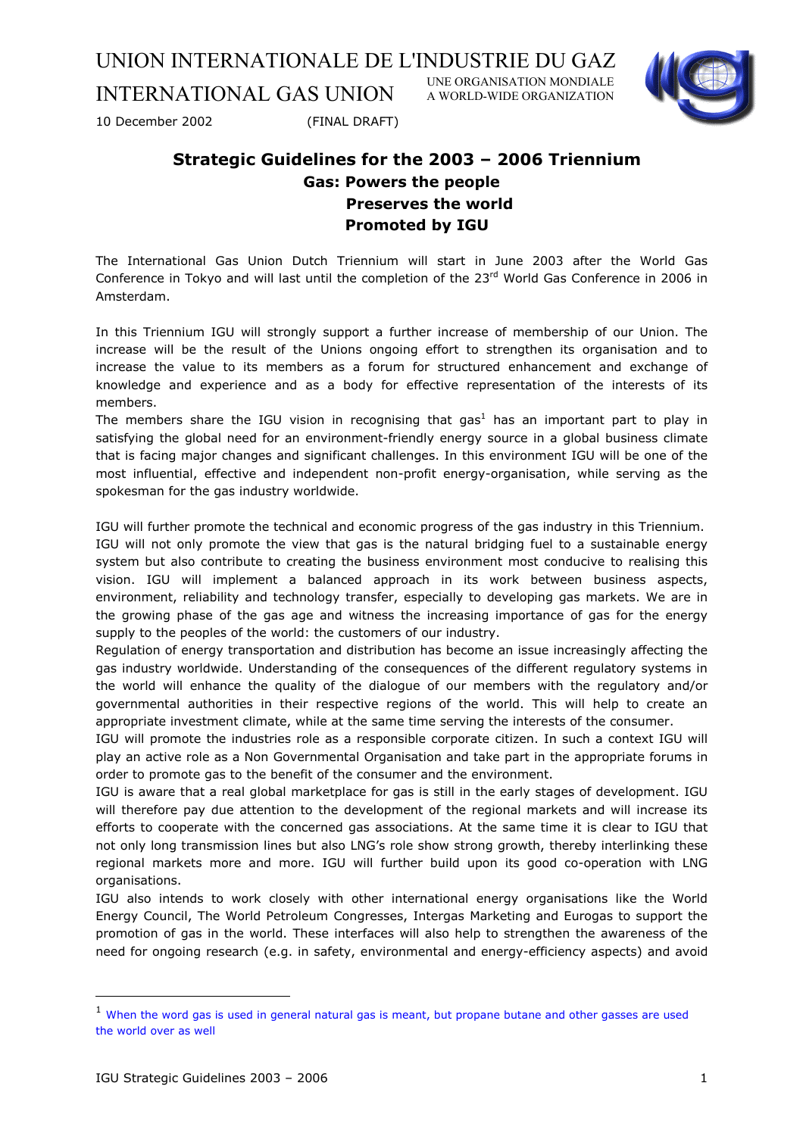INTERNATIONAL GAS UNION UNE ORGANISATION MONDIALE A WORLD-WIDE ORGANIZATION



10 December 2002 (FINAL DRAFT)

# **Strategic Guidelines for the 2003 – 2006 Triennium Gas: Powers the people Preserves the world Promoted by IGU**

The International Gas Union Dutch Triennium will start in June 2003 after the World Gas Conference in Tokyo and will last until the completion of the 23<sup>rd</sup> World Gas Conference in 2006 in Amsterdam.

In this Triennium IGU will strongly support a further increase of membership of our Union. The increase will be the result of the Unions ongoing effort to strengthen its organisation and to increase the value to its members as a forum for structured enhancement and exchange of knowledge and experience and as a body for effective representation of the interests of its members.

Themembers share the IGU vision in recognising that gas<sup>1</sup> has an important part to play in satisfying the global need for an environment-friendly energy source in a global business climate that is facing major changes and significant challenges. In this environment IGU will be one of the most influential, effective and independent non-profit energy-organisation, while serving as the spokesman for the gas industry worldwide.

IGU will further promote the technical and economic progress of the gas industry in this Triennium.

IGU will not only promote the view that gas is the natural bridging fuel to a sustainable energy system but also contribute to creating the business environment most conducive to realising this vision. IGU will implement a balanced approach in its work between business aspects, environment, reliability and technology transfer, especially to developing gas markets. We are in the growing phase of the gas age and witness the increasing importance of gas for the energy supply to the peoples of the world: the customers of our industry.

Regulation of energy transportation and distribution has become an issue increasingly affecting the gas industry worldwide. Understanding of the consequences of the different regulatory systems in the world will enhance the quality of the dialogue of our members with the regulatory and/or governmental authorities in their respective regions of the world. This will help to create an appropriate investment climate, while at the same time serving the interests of the consumer.

IGU will promote the industries role as a responsible corporate citizen. In such a context IGU will play an active role as a Non Governmental Organisation and take part in the appropriate forums in order to promote gas to the benefit of the consumer and the environment.

IGU is aware that a real global marketplace for gas is still in the early stages of development. IGU will therefore pay due attention to the development of the regional markets and will increase its efforts to cooperate with the concerned gas associations. At the same time it is clear to IGU that not only long transmission lines but also LNG's role show strong growth, thereby interlinking these regional markets more and more. IGU will further build upon its good co-operation with LNG organisations.

IGU also intends to work closely with other international energy organisations like the World Energy Council, The World Petroleum Congresses, Intergas Marketing and Eurogas to support the promotion of gas in the world. These interfaces will also help to strengthen the awareness of the need for ongoing research (e.g. in safety, environmental and energy-efficiency aspects) and avoid

ł

<span id="page-0-0"></span><sup>&</sup>lt;sup>1</sup> When the word gas is used in general natural gas is meant, but propane butane and other gasses are used the world over as well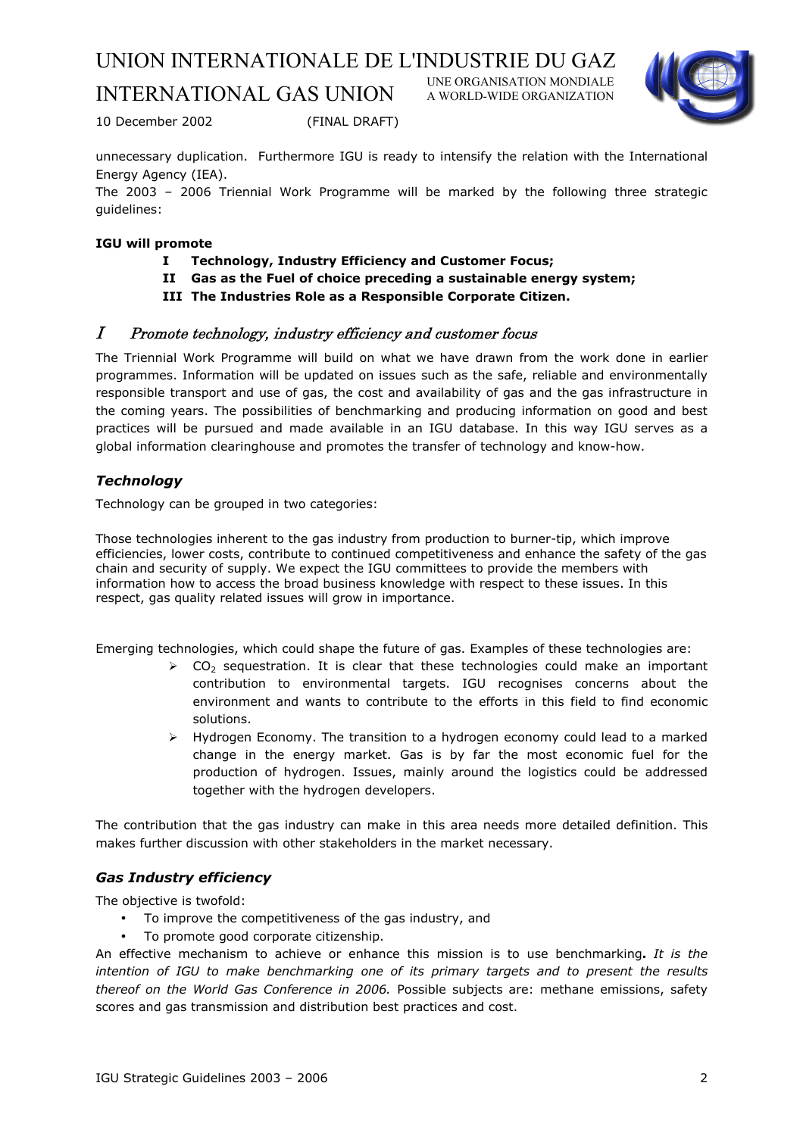# INTERNATIONAL GAS UNION

UNE ORGANISATION MONDIALE A WORLD-WIDE ORGANIZATION



10 December 2002 (FINAL DRAFT)

unnecessary duplication. Furthermore IGU is ready to intensify the relation with the International Energy Agency (IEA).

The 2003 – 2006 Triennial Work Programme will be marked by the following three strategic guidelines:

# **IGU will promote**

- **I Technology, Industry Efficiency and Customer Focus;**
- **II Gas as the Fuel of choice preceding a sustainable energy system;**
- **III The Industries Role as a Responsible Corporate Citizen.**

#### I Promote technology, industry efficiency and customer focus

The Triennial Work Programme will build on what we have drawn from the work done in earlier programmes. Information will be updated on issues such as the safe, reliable and environmentally responsible transport and use of gas, the cost and availability of gas and the gas infrastructure in the coming years. The possibilities of benchmarking and producing information on good and best practices will be pursued and made available in an IGU database. In this way IGU serves as a global information clearinghouse and promotes the transfer of technology and know-how.

# *Technology*

Technology can be grouped in two categories:

Those technologies inherent to the gas industry from production to burner-tip, which improve efficiencies, lower costs, contribute to continued competitiveness and enhance the safety of the gas chain and security of supply. We expect the IGU committees to provide the members with information how to access the broad business knowledge with respect to these issues. In this respect, gas quality related issues will grow in importance.

Emerging technologies, which could shape the future of gas. Examples of these technologies are:

- $\geq$  CO<sub>2</sub> sequestration. It is clear that these technologies could make an important contribution to environmental targets. IGU recognises concerns about the environment and wants to contribute to the efforts in this field to find economic solutions.
- $\triangleright$  Hydrogen Economy. The transition to a hydrogen economy could lead to a marked change in the energy market. Gas is by far the most economic fuel for the production of hydrogen. Issues, mainly around the logistics could be addressed together with the hydrogen developers.

The contribution that the gas industry can make in this area needs more detailed definition. This makes further discussion with other stakeholders in the market necessary.

# *Gas Industry efficiency*

The objective is twofold:

- To improve the competitiveness of the gas industry, and
- To promote good corporate citizenship.

An effective mechanism to achieve or enhance this mission is to use benchmarking**.** *It is the intention of IGU to make benchmarking one of its primary targets and to present the results thereof on the World Gas Conference in 2006.* Possible subjects are: methane emissions, safety scores and gas transmission and distribution best practices and cost.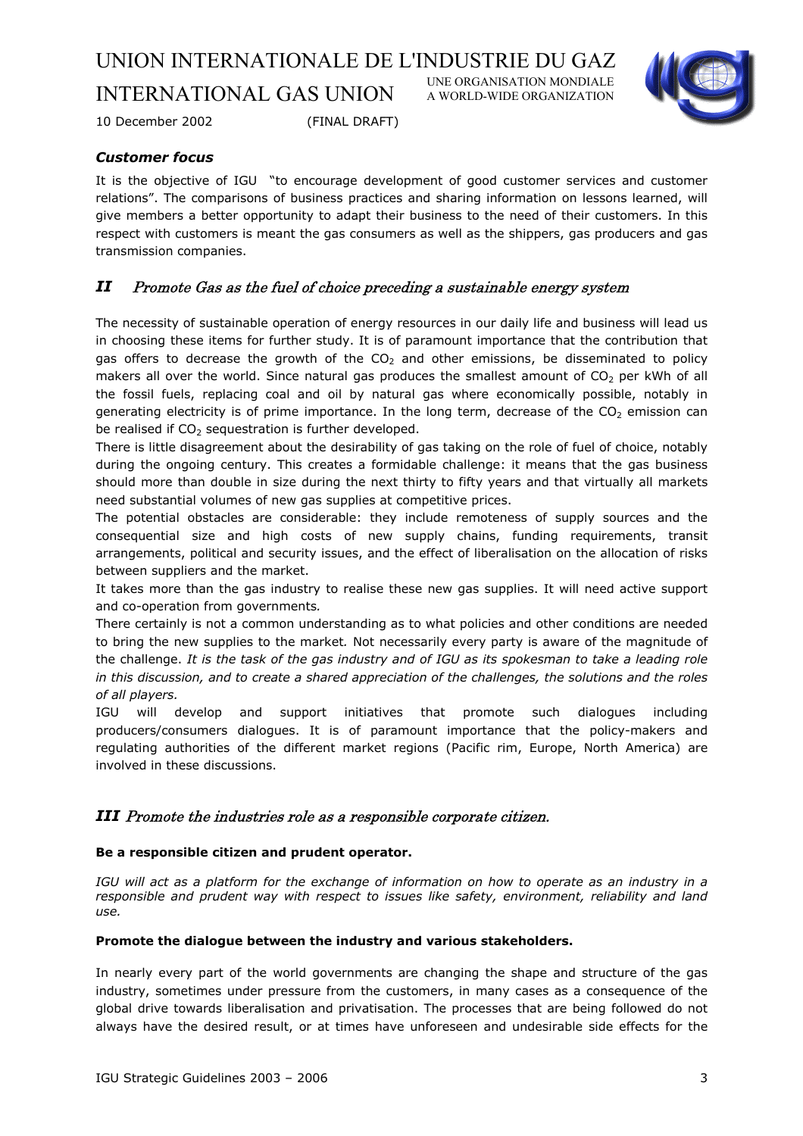UNE ORGANISATION MONDIALE A WORLD-WIDE ORGANIZATION



10 December 2002 (FINAL DRAFT)

INTERNATIONAL GAS UNION

# *Customer focus*

It is the objective of IGU "to encourage development of good customer services and customer relations". The comparisons of business practices and sharing information on lessons learned, will give members a better opportunity to adapt their business to the need of their customers. In this respect with customers is meant the gas consumers as well as the shippers, gas producers and gas transmission companies.

# *II* Promote Gas as the fuel of choice preceding a sustainable energy system

The necessity of sustainable operation of energy resources in our daily life and business will lead us in choosing these items for further study. It is of paramount importance that the contribution that gas offers to decrease the growth of the  $CO<sub>2</sub>$  and other emissions, be disseminated to policy makers all over the world. Since natural gas produces the smallest amount of  $CO<sub>2</sub>$  per kWh of all the fossil fuels, replacing coal and oil by natural gas where economically possible, notably in generating electricity is of prime importance. In the long term, decrease of the  $CO<sub>2</sub>$  emission can be realised if  $CO<sub>2</sub>$  sequestration is further developed.

There is little disagreement about the desirability of gas taking on the role of fuel of choice, notably during the ongoing century. This creates a formidable challenge: it means that the gas business should more than double in size during the next thirty to fifty years and that virtually all markets need substantial volumes of new gas supplies at competitive prices.

The potential obstacles are considerable: they include remoteness of supply sources and the consequential size and high costs of new supply chains, funding requirements, transit arrangements, political and security issues, and the effect of liberalisation on the allocation of risks between suppliers and the market.

It takes more than the gas industry to realise these new gas supplies. It will need active support and co-operation from governments*.* 

There certainly is not a common understanding as to what policies and other conditions are needed to bring the new supplies to the market*.* Not necessarily every party is aware of the magnitude of the challenge. *It is the task of the gas industry and of IGU as its spokesman to take a leading role in this discussion, and to create a shared appreciation of the challenges, the solutions and the roles of all players.*

IGU will develop and support initiatives that promote such dialogues including producers/consumers dialogues. It is of paramount importance that the policy-makers and regulating authorities of the different market regions (Pacific rim, Europe, North America) are involved in these discussions.

#### *III* Promote the industries role as a responsible corporate citizen.

#### **Be a responsible citizen and prudent operator.**

*IGU will act as a platform for the exchange of information on how to operate as an industry in a responsible and prudent way with respect to issues like safety, environment, reliability and land use.* 

#### **Promote the dialogue between the industry and various stakeholders.**

In nearly every part of the world governments are changing the shape and structure of the gas industry, sometimes under pressure from the customers, in many cases as a consequence of the global drive towards liberalisation and privatisation. The processes that are being followed do not always have the desired result, or at times have unforeseen and undesirable side effects for the